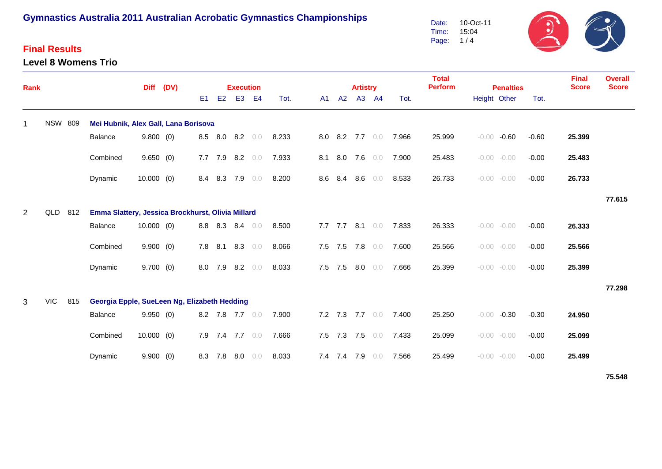### **Final Results**

**Level 8 Womens Trio**



| <b>Rank</b>    |                |     |                                                   | <b>Diff</b>  | (DV) |                |                | <b>Execution</b> |                |       |     |             | <b>Artistry</b> |                 |                       | <b>Total</b><br><b>Perform</b> | <b>Penalties</b> |                |         | <b>Final</b><br><b>Score</b> | <b>Overall</b><br><b>Score</b> |
|----------------|----------------|-----|---------------------------------------------------|--------------|------|----------------|----------------|------------------|----------------|-------|-----|-------------|-----------------|-----------------|-----------------------|--------------------------------|------------------|----------------|---------|------------------------------|--------------------------------|
|                |                |     |                                                   |              |      | E <sub>1</sub> | E <sub>2</sub> | E <sub>3</sub>   | E <sub>4</sub> | Tot.  | A1  | A2          | A3              | - A4            | Tot.                  |                                | Height Other     |                | Tot.    |                              |                                |
| $\mathbf{1}$   | <b>NSW 809</b> |     | Mei Hubnik, Alex Gall, Lana Borisova              |              |      |                |                |                  |                |       |     |             |                 |                 |                       |                                |                  |                |         |                              |                                |
|                |                |     | Balance                                           | 9.800(0)     |      |                |                | 8.5 8.0 8.2      | 0.0            | 8.233 |     |             |                 |                 | 8.0 8.2 7.7 0.0 7.966 | 25.999                         |                  | $-0.00 - 0.60$ | $-0.60$ | 25.399                       |                                |
|                |                |     | Combined                                          | 9.650(0)     |      |                |                | 7.7 7.9 8.2 0.0  |                | 7.933 | 8.1 |             |                 | 8.0 7.6 $0.0$   | 7.900                 | 25.483                         |                  | $-0.00 - 0.00$ | $-0.00$ | 25.483                       |                                |
|                |                |     | Dynamic                                           | $10.000$ (0) |      |                |                | 8.4 8.3 7.9      | 0.0            | 8.200 | 8.6 | 8.4         | 8.6             | 0.0             | 8.533                 | 26.733                         |                  | $-0.00 - 0.00$ | $-0.00$ | 26.733                       |                                |
|                |                |     |                                                   |              |      |                |                |                  |                |       |     |             |                 |                 |                       |                                |                  |                |         |                              | 77.615                         |
| $\overline{2}$ | QLD            | 812 | Emma Slattery, Jessica Brockhurst, Olivia Millard |              |      |                |                |                  |                |       |     |             |                 |                 |                       |                                |                  |                |         |                              |                                |
|                |                |     | <b>Balance</b>                                    | $10.000$ (0) |      |                |                | 8.8 8.3 8.4      | 0.0            | 8.500 |     |             |                 | 7.7 7.7 8.1 0.0 | 7.833                 | 26.333                         |                  | $-0.00 - 0.00$ | $-0.00$ | 26.333                       |                                |
|                |                |     | Combined                                          | 9.900(0)     |      |                |                | 7.8 8.1 8.3 0.0  |                | 8.066 |     |             |                 | 7.5 7.5 7.8 0.0 | 7.600                 | 25.566                         |                  | $-0.00 - 0.00$ | $-0.00$ | 25.566                       |                                |
|                |                |     | Dynamic                                           | $9.700$ (0)  |      | 8.0            | 7.9            | $8.2\quad 0.0$   |                | 8.033 |     | $7.5$ $7.5$ | 8.0             | 0.0             | 7.666                 | 25.399                         |                  | $-0.00 - 0.00$ | $-0.00$ | 25.399                       |                                |
|                |                |     |                                                   |              |      |                |                |                  |                |       |     |             |                 |                 |                       |                                |                  |                |         |                              | 77.298                         |
| 3              | <b>VIC</b>     | 815 | Georgia Epple, SueLeen Ng, Elizabeth Hedding      |              |      |                |                |                  |                |       |     |             |                 |                 |                       |                                |                  |                |         |                              |                                |
|                |                |     | <b>Balance</b>                                    | 9.950(0)     |      |                |                | 8.2 7.8 7.7 0.0  |                | 7.900 |     |             |                 | 7.2 7.3 7.7 0.0 | 7.400                 | 25.250                         |                  | $-0.00 -0.30$  | $-0.30$ | 24.950                       |                                |
|                |                |     | Combined                                          | $10.000$ (0) |      | 7.9            |                | 7.4 7.7 0.0      |                | 7.666 |     |             |                 | 7.5 7.3 7.5 0.0 | 7.433                 | 25.099                         |                  | $-0.00 - 0.00$ | $-0.00$ | 25.099                       |                                |
|                |                |     | Dynamic                                           | 9.900(0)     |      | 8.3            | 7.8            | 8.0              | 0.0            | 8.033 |     | 7.4 7.4 7.9 |                 | 0.0             | 7.566                 | 25.499                         |                  | $-0.00 - 0.00$ | $-0.00$ | 25.499                       |                                |

**75.548**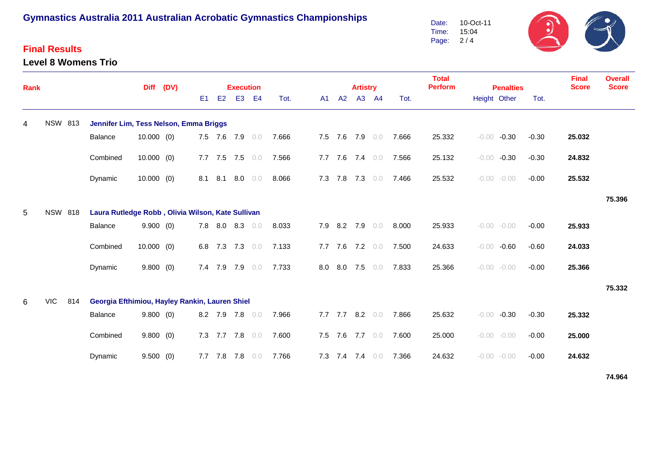#### **Final Results**

#### **Level 8 Womens Trio**

Date: Time: Page: 2 / 4 10-Oct-11 15:04

| Rank |                |                                                   |                                                | <b>Diff</b>  | (DV) |    | <b>Execution</b>                                             |  |                |              |                 | <b>Artistry</b> |     |       | <b>Total</b><br><b>Perform</b> | <b>Penalties</b>   |         | <b>Final</b><br><b>Score</b> | <b>Overall</b><br><b>Score</b> |
|------|----------------|---------------------------------------------------|------------------------------------------------|--------------|------|----|--------------------------------------------------------------|--|----------------|--------------|-----------------|-----------------|-----|-------|--------------------------------|--------------------|---------|------------------------------|--------------------------------|
|      |                |                                                   |                                                |              |      | E1 | E2<br>E <sub>3</sub><br>E4<br>A1 A2<br>A3 A4<br>Tot.<br>Tot. |  |                | Height Other | Tot.            |                 |     |       |                                |                    |         |                              |                                |
| 4    | <b>NSW 813</b> |                                                   | Jennifer Lim, Tess Nelson, Emma Briggs         |              |      |    |                                                              |  |                |              |                 |                 |     |       |                                |                    |         |                              |                                |
|      |                |                                                   | Balance                                        | $10.000$ (0) |      |    | 7.5 7.6 7.9 0.0                                              |  |                | 7.666        | 7.5 7.6 7.9 0.0 |                 |     | 7.666 | 25.332                         | $-0.00$<br>$-0.30$ | $-0.30$ | 25.032                       |                                |
|      |                |                                                   | Combined                                       | $10.000$ (0) |      |    | 7.7 7.5 7.5 0.0                                              |  |                | 7.566        | $7.7$ $7.6$     | 7.4             | 0.0 | 7.566 | 25.132                         | $-0.30$<br>$-0.00$ | $-0.30$ | 24.832                       |                                |
|      |                |                                                   | Dynamic                                        | $10.000$ (0) |      |    | 8.1 8.1                                                      |  | $8.0\quad 0.0$ | 8.066        | 7.3 7.8 7.3 0.0 |                 |     | 7.466 | 25.532                         | $-0.00 - 0.00$     | $-0.00$ | 25.532                       |                                |
|      |                |                                                   |                                                |              |      |    |                                                              |  |                |              |                 |                 |     |       |                                |                    |         |                              | 75.396                         |
| 5    | <b>NSW 818</b> | Laura Rutledge Robb, Olivia Wilson, Kate Sullivan |                                                |              |      |    |                                                              |  |                |              |                 |                 |     |       |                                |                    |         |                              |                                |
|      |                |                                                   | Balance                                        | 9.900(0)     |      |    | 7.8 8.0 8.3 0.0                                              |  |                | 8.033        | 7.9 8.2 7.9 0.0 |                 |     | 8.000 | 25.933                         | $-0.00 - 0.00$     | $-0.00$ | 25.933                       |                                |
|      |                |                                                   | Combined                                       | $10.000$ (0) |      |    | 6.8 7.3 7.3 0.0                                              |  |                | 7.133        | 7.7 7.6 7.2 0.0 |                 |     | 7.500 | 24.633                         | $-0.00$<br>$-0.60$ | $-0.60$ | 24.033                       |                                |
|      |                |                                                   | Dynamic                                        | 9.800(0)     |      |    | 7.4 7.9 7.9 0.0                                              |  |                | 7.733        | 8.0 8.0 7.5 0.0 |                 |     | 7.833 | 25.366                         | $-0.00 - 0.00$     | $-0.00$ | 25.366                       |                                |
|      |                |                                                   |                                                |              |      |    |                                                              |  |                |              |                 |                 |     |       |                                |                    |         |                              | 75.332                         |
| 6    | <b>VIC</b>     | 814                                               | Georgia Efthimiou, Hayley Rankin, Lauren Shiel |              |      |    |                                                              |  |                |              |                 |                 |     |       |                                |                    |         |                              |                                |
|      |                |                                                   | Balance                                        | 9.800(0)     |      |    | 8.2 7.9 7.8 0.0                                              |  |                | 7.966        | $7.7$ $7.7$     | $8.2\quad 0.0$  |     | 7.866 | 25.632                         | $-0.30$<br>$-0.00$ | $-0.30$ | 25.332                       |                                |
|      |                |                                                   | Combined                                       | 9.800(0)     |      |    | 7.3 7.7 7.8 0.0                                              |  |                | 7.600        | 7.5 7.6         | 7.7 0.0         |     | 7.600 | 25.000                         | $-0.00 - 0.00$     | $-0.00$ | 25.000                       |                                |
|      |                |                                                   | Dynamic                                        | 9.500(0)     |      |    | 7.7 7.8 7.8 0.0                                              |  |                | 7.766        | 7.3 7.4 7.4     |                 | 0.0 | 7.366 | 24.632                         | $-0.00 - 0.00$     | $-0.00$ | 24.632                       |                                |
|      |                |                                                   |                                                |              |      |    |                                                              |  |                |              |                 |                 |     |       |                                |                    |         |                              | 74.964                         |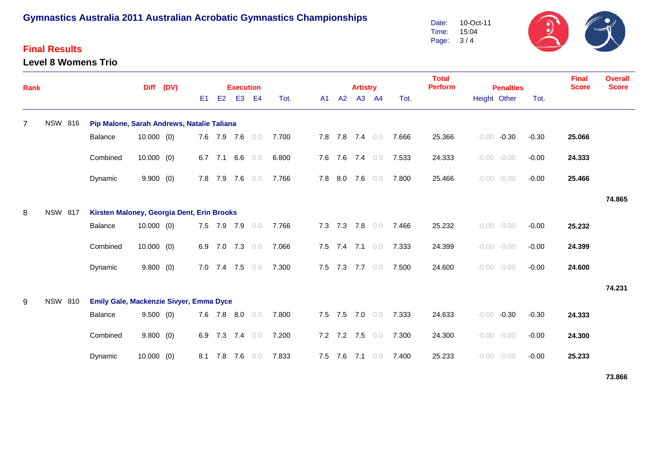### **Final Results**

#### **Level 8 Womens Trio**

Date: Time: Page: 10-Oct-11 15:04 3 / 4



| Rank           |                |                                            |                                            | <b>Diff</b>  | (DV) |                | <b>Execution</b> |                 |     |       |     |             | <b>Artistry</b> |                 |                       | <b>Total</b><br><b>Perform</b> | <b>Penalties</b>   |         | <b>Final</b><br><b>Score</b> | <b>Overall</b><br><b>Score</b> |
|----------------|----------------|--------------------------------------------|--------------------------------------------|--------------|------|----------------|------------------|-----------------|-----|-------|-----|-------------|-----------------|-----------------|-----------------------|--------------------------------|--------------------|---------|------------------------------|--------------------------------|
|                |                |                                            |                                            |              |      | E <sub>1</sub> | E2               | E <sub>3</sub>  | E4  | Tot.  | A1  | A2          |                 | A3 A4           | Tot.                  |                                | Height Other       | Tot.    |                              |                                |
| $\overline{7}$ | <b>NSW 816</b> |                                            | Pip Malone, Sarah Andrews, Natalie Taliana |              |      |                |                  |                 |     |       |     |             |                 |                 |                       |                                |                    |         |                              |                                |
|                |                |                                            | Balance                                    | $10.000$ (0) |      |                |                  | 7.6 7.9 7.6 0.0 |     | 7.700 |     |             |                 | 7.8 7.8 7.4 0.0 | 7.666                 | 25.366                         | $-0.00 -0.30$      | $-0.30$ | 25.066                       |                                |
|                |                |                                            | Combined                                   | $10.000$ (0) |      |                | 6.7 7.1          | 6.6             | 0.0 | 6.800 |     | 7.6 7.6     | 7.4             | 0.0             | 7.533                 | 24.333                         | $-0.00 - 0.00$     | $-0.00$ | 24.333                       |                                |
|                |                |                                            | Dynamic                                    | 9.900(0)     |      |                |                  | 7.8 7.9 7.6 0.0 |     | 7.766 | 7.8 | 8.0         | 7.6             | 0.0             | 7.800                 | 25.466                         | $-0.00 - 0.00$     | $-0.00$ | 25.466                       |                                |
|                |                |                                            |                                            |              |      |                |                  |                 |     |       |     |             |                 |                 |                       |                                |                    |         |                              | 74.865                         |
| 8              | <b>NSW 817</b> | Kirsten Maloney, Georgia Dent, Erin Brooks |                                            |              |      |                |                  |                 |     |       |     |             |                 |                 |                       |                                |                    |         |                              |                                |
|                |                |                                            | Balance                                    | $10.000$ (0) |      |                |                  | 7.5 7.9 7.9 0.0 |     | 7.766 |     |             |                 |                 | 7.3 7.3 7.8 0.0 7.466 | 25.232                         | $-0.00 - 0.00$     | $-0.00$ | 25.232                       |                                |
|                |                |                                            | Combined                                   | $10.000$ (0) |      |                |                  | 6.9 7.0 7.3 0.0 |     | 7.066 |     |             |                 | 7.5 7.4 7.1 0.0 | 7.333                 | 24.399                         | $-0.00 - 0.00$     | $-0.00$ | 24.399                       |                                |
|                |                |                                            | Dynamic                                    | 9.800(0)     |      |                |                  | 7.0 7.4 7.5 0.0 |     | 7.300 |     |             | 7.5 7.3 7.7 0.0 |                 | 7.500                 | 24.600                         | $-0.00 - 0.00$     | $-0.00$ | 24.600                       |                                |
|                |                |                                            |                                            |              |      |                |                  |                 |     |       |     |             |                 |                 |                       |                                |                    |         |                              | 74.231                         |
| 9              | <b>NSW 810</b> |                                            | Emily Gale, Mackenzie Sivyer, Emma Dyce    |              |      |                |                  |                 |     |       |     |             |                 |                 |                       |                                |                    |         |                              |                                |
|                |                |                                            | Balance                                    | 9.500(0)     |      |                |                  | 7.6 7.8 8.0 0.0 |     | 7.800 |     | 7.5 7.5     | 7.0 0.0         |                 | 7.333                 | 24.633                         | $-0.00$<br>$-0.30$ | $-0.30$ | 24.333                       |                                |
|                |                |                                            | Combined                                   | 9.800(0)     |      |                |                  | 6.9 7.3 7.4 0.0 |     | 7.200 |     | $7.2$ $7.2$ | 7.5             | 0.0             | 7.300                 | 24.300                         | $-0.00 - 0.00$     | $-0.00$ | 24.300                       |                                |
|                |                |                                            | Dynamic                                    | $10.000$ (0) |      |                |                  | 8.1 7.8 7.6 0.0 |     | 7.833 |     | 7.5 7.6     | $7.1 \t0.0$     |                 | 7.400                 | 25.233                         | $-0.00 - 0.00$     | $-0.00$ | 25.233                       |                                |
|                |                |                                            |                                            |              |      |                |                  |                 |     |       |     |             |                 |                 |                       |                                |                    |         |                              | 73.866                         |